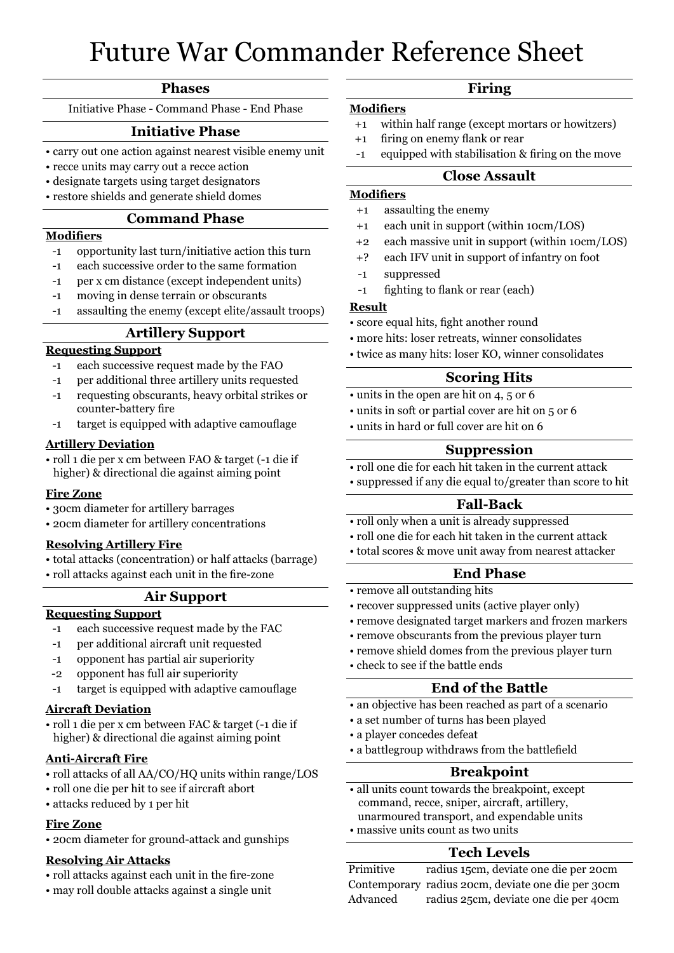## Future War Commander Reference Sheet

#### **Phases**

Initiative Phase - Command Phase - End Phase

# **Initiative Phase**

- carry out one action against nearest visible enemy unit
- recce units may carry out a recce action
- designate targets using target designators **and the set of the sheeting of the sheeting of the sheeting of the sheeting of the sheeting of the sheeting of the sheeting of the sheeting of the sheeting of the sheeting of t**
- restore shields and generate shield domes

## **Command Phase**

### **Modifiers**

- -1 opportunity last turn/initiative action this turn
- -1 each successive order to the same formation
- -1 per x cm distance (except independent units)
- -1 moving in dense terrain or obscurants
- -1 assaulting the enemy (except elite/assault troops)

## **Artillery Support**

## **Requesting Support**

- -1 each successive request made by the FAO
- -1 per additional three artillery units requested
- -1 requesting obscurants, heavy orbital strikes or counter-battery fire
- -1 target is equipped with adaptive camouflage

#### **Artillery Deviation**

• roll 1 die per x cm between FAO & target (-1 die if higher) & directional die against aiming point

#### **Fire Zone**

- 30cm diameter for artillery barrages
- 20cm diameter for artillery concentrations

#### **Resolving Artillery Fire**

- total attacks (concentration) or half attacks (barrage)
- roll attacks against each unit in the fire-zone

#### **Air Support**

## **Requesting Support**

- -1 each successive request made by the FAC
- -1 per additional aircraft unit requested
- -1 opponent has partial air superiority
- -2 opponent has full air superiority
- -1 target is equipped with adaptive camouflage

#### **Aircraft Deviation**

• roll 1 die per x cm between FAC & target (-1 die if higher) & directional die against aiming point

#### **Anti-Aircraft Fire**

- roll attacks of all AA/CO/HQ units within range/LOS
- roll one die per hit to see if aircraft abort
- attacks reduced by 1 per hit

#### **Fire Zone**

• 20cm diameter for ground-attack and gunships

#### **Resolving Air Attacks**

- roll attacks against each unit in the fire-zone
- may roll double attacks against a single unit

#### **Firing**

#### **Modifiers**

- +1 within half range (except mortars or howitzers)
- +1 firing on enemy flank or rear
- -1 equipped with stabilisation & firing on the move

## **Close Assault**

- **Modifiers** +1 assaulting the enemy
- +1 each unit in support (within 10cm/LOS)
- +2 each massive unit in support (within 10cm/LOS)
- +? each IFV unit in support of infantry on foot
- -1 suppressed
- -1 fighting to flank or rear (each)

#### **Result**

- score equal hits, fight another round
- more hits: loser retreats, winner consolidates
- twice as many hits: loser KO, winner consolidates

## **Scoring Hits**

- units in the open are hit on 4, 5 or 6
- units in soft or partial cover are hit on 5 or 6
- units in hard or full cover are hit on 6

#### **Suppression**

- roll one die for each hit taken in the current attack
- suppressed if any die equal to/greater than score to hit

#### **Fall-Back**

- roll only when a unit is already suppressed
- roll one die for each hit taken in the current attack
- total scores & move unit away from nearest attacker

## **End Phase**

- remove all outstanding hits
- recover suppressed units (active player only)
- remove designated target markers and frozen markers
- remove obscurants from the previous player turn
- remove shield domes from the previous player turn
- check to see if the battle ends

#### **End of the Battle**

- an objective has been reached as part of a scenario
- a set number of turns has been played
- a player concedes defeat
- a battlegroup withdraws from the battlefield

## **Breakpoint**

- all units count towards the breakpoint, except command, recce, sniper, aircraft, artillery,
- unarmoured transport, and expendable units
- massive units count as two units

## **Tech Levels**

Primitive radius 15cm, deviate one die per 20cm Contemporary radius 20cm, deviate one die per 30cm Advanced radius 25cm, deviate one die per 40cm